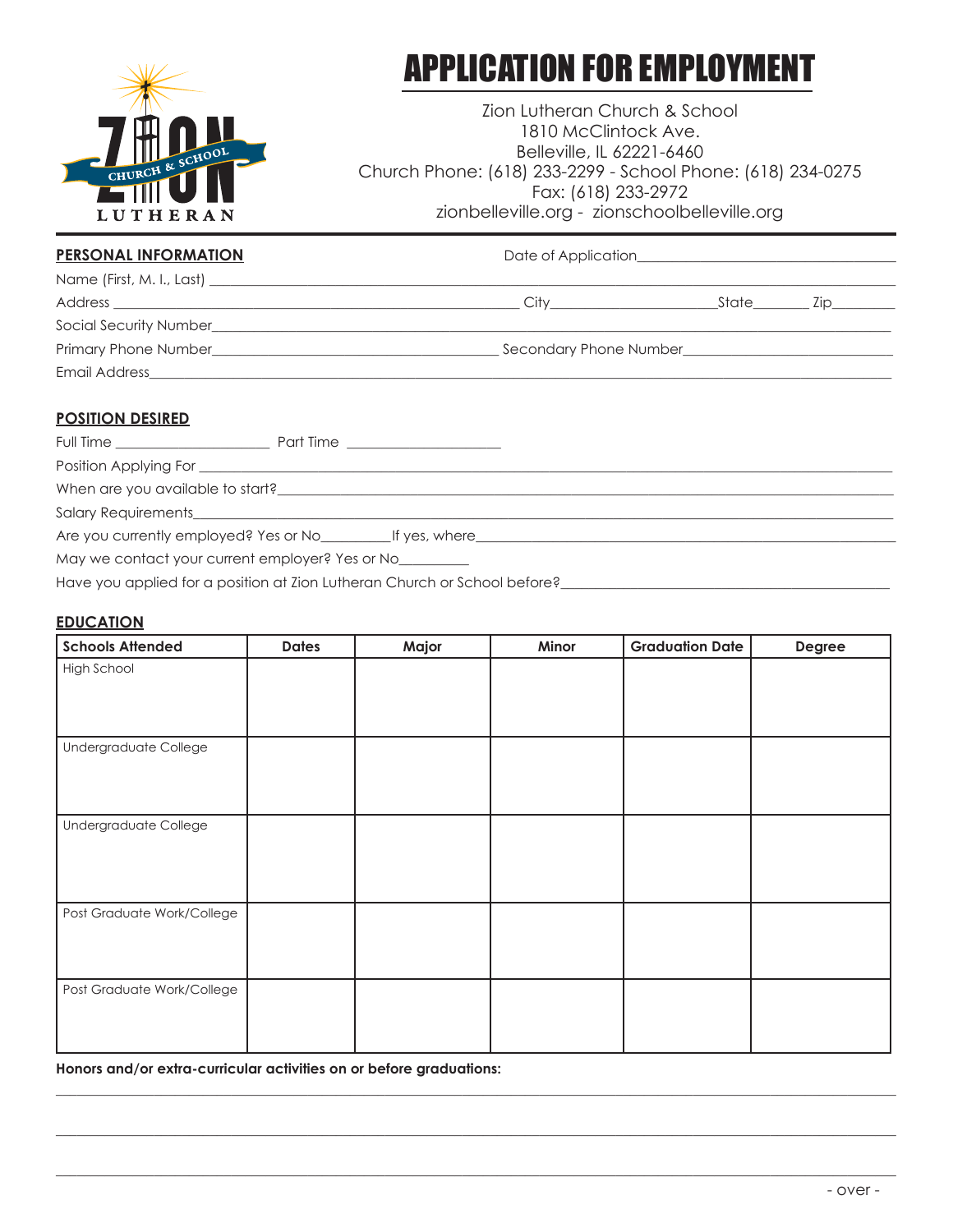

# APPLICATION FOR EMPLOYMENT

Zion Lutheran Church & School 1810 McClintock Ave. Belleville, IL 62221-6460 Church Phone: (618) 233-2299 - School Phone: (618) 234-0275 Fax: (618) 233-2972 zionbelleville.org - zionschoolbelleville.org

## PERSONAL INFORMATION **PERSONAL INFORMATION** Date of Application

| Name (First, M. I., Last) ___________ |                        |       |     |
|---------------------------------------|------------------------|-------|-----|
| Address                               | Citv                   | State | LID |
| Social Security Number                |                        |       |     |
|                                       | Secondary Phone Number |       |     |
| Email Address                         |                        |       |     |

## **POSITION DESIRED**

| Full Time _______________________               | Part Time ______________________                                                  |  |
|-------------------------------------------------|-----------------------------------------------------------------------------------|--|
|                                                 |                                                                                   |  |
|                                                 |                                                                                   |  |
|                                                 |                                                                                   |  |
|                                                 | Are you currently employed? Yes or No_______________If yes, where________________ |  |
| May we contact your current employer? Yes or No |                                                                                   |  |

Have you applied for a position at Zion Lutheran Church or School before?\_\_\_\_\_\_\_\_\_\_\_\_\_\_\_\_\_\_\_\_\_\_\_\_\_\_\_\_\_\_\_\_\_\_\_\_\_\_\_\_\_\_\_\_\_\_\_

### **EDUCATION**

| <b>Schools Attended</b>    | <b>Dates</b> | Major | Minor | <b>Graduation Date</b> | Degree |
|----------------------------|--------------|-------|-------|------------------------|--------|
| High School                |              |       |       |                        |        |
| Undergraduate College      |              |       |       |                        |        |
| Undergraduate College      |              |       |       |                        |        |
| Post Graduate Work/College |              |       |       |                        |        |
| Post Graduate Work/College |              |       |       |                        |        |

**\_\_\_\_\_\_\_\_\_\_\_\_\_\_\_\_\_\_\_\_\_\_\_\_\_\_\_\_\_\_\_\_\_\_\_\_\_\_\_\_\_\_\_\_\_\_\_\_\_\_\_\_\_\_\_\_\_\_\_\_\_\_\_\_\_\_\_\_\_\_\_\_\_\_\_\_\_\_\_\_\_\_\_\_\_\_\_\_\_\_\_\_\_\_\_\_\_\_\_\_\_\_\_\_\_\_\_\_\_\_\_\_\_\_\_\_\_\_\_\_**

**\_\_\_\_\_\_\_\_\_\_\_\_\_\_\_\_\_\_\_\_\_\_\_\_\_\_\_\_\_\_\_\_\_\_\_\_\_\_\_\_\_\_\_\_\_\_\_\_\_\_\_\_\_\_\_\_\_\_\_\_\_\_\_\_\_\_\_\_\_\_\_\_\_\_\_\_\_\_\_\_\_\_\_\_\_\_\_\_\_\_\_\_\_\_\_\_\_\_\_\_\_\_\_\_\_\_\_\_\_\_\_\_\_\_\_\_\_\_\_\_**

**\_\_\_\_\_\_\_\_\_\_\_\_\_\_\_\_\_\_\_\_\_\_\_\_\_\_\_\_\_\_\_\_\_\_\_\_\_\_\_\_\_\_\_\_\_\_\_\_\_\_\_\_\_\_\_\_\_\_\_\_\_\_\_\_\_\_\_\_\_\_\_\_\_\_\_\_\_\_\_\_\_\_\_\_\_\_\_\_\_\_\_\_\_\_\_\_\_\_\_\_\_\_\_\_\_\_\_\_\_\_\_\_\_\_\_\_\_\_\_\_** 

**Honors and/or extra-curricular activities on or before graduations:**